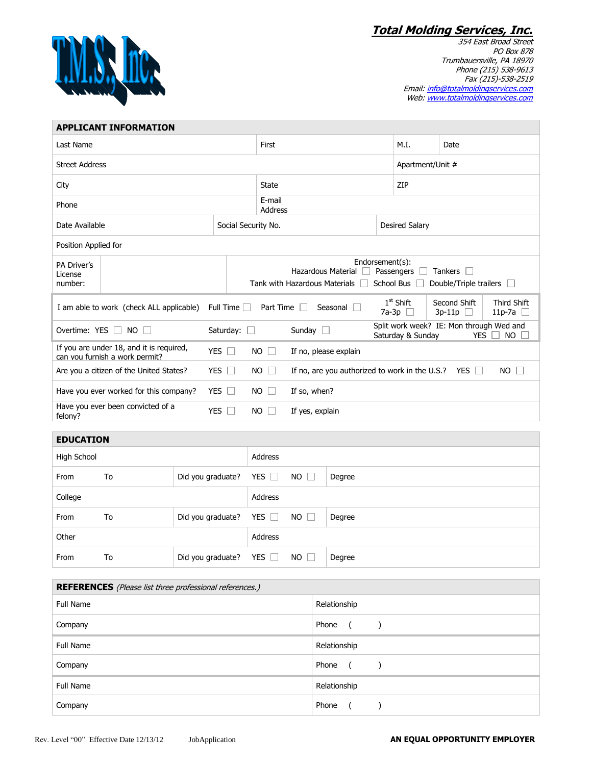**Total Molding Services, Inc.**



354 East Broad Street PO Box 878 Trumbauersville, PA 18970 Phone (215) 538-9613 Fax (215)-538-2519 Email: <u>info@totalmoldingservices.com</u> Web: www.totalmoldingservices.com

| <b>APPLICANT INFORMATION</b>                                                                                                                                                  |                                                                                                      |                   |         |                           |                                                                          |        |                       |                   |                                                        |           |
|-------------------------------------------------------------------------------------------------------------------------------------------------------------------------------|------------------------------------------------------------------------------------------------------|-------------------|---------|---------------------------|--------------------------------------------------------------------------|--------|-----------------------|-------------------|--------------------------------------------------------|-----------|
| Last Name                                                                                                                                                                     |                                                                                                      |                   |         | First                     |                                                                          |        |                       | M.I.              | Date                                                   |           |
| <b>Street Address</b>                                                                                                                                                         |                                                                                                      |                   |         |                           |                                                                          |        | Apartment/Unit #      |                   |                                                        |           |
| City                                                                                                                                                                          |                                                                                                      |                   |         | <b>State</b>              |                                                                          |        |                       | ZIP               |                                                        |           |
| Phone                                                                                                                                                                         |                                                                                                      |                   |         | E-mail<br>Address         |                                                                          |        |                       |                   |                                                        |           |
| Date Available                                                                                                                                                                |                                                                                                      |                   |         | Social Security No.       |                                                                          |        | <b>Desired Salary</b> |                   |                                                        |           |
| Position Applied for                                                                                                                                                          |                                                                                                      |                   |         |                           |                                                                          |        |                       |                   |                                                        |           |
| PA Driver's                                                                                                                                                                   |                                                                                                      |                   |         | Endorsement(s):           |                                                                          |        |                       |                   |                                                        |           |
| License                                                                                                                                                                       |                                                                                                      |                   |         |                           | Hazardous Material<br>Passengers $\Box$<br>Tankers $\Box$                |        |                       |                   |                                                        |           |
|                                                                                                                                                                               | Tank with Hazardous Materials $\Box$ School Bus $\Box$<br>Double/Triple trailers <b>D</b><br>number: |                   |         |                           |                                                                          |        |                       |                   |                                                        |           |
| $1st$ Shift<br>Second Shift<br>Third Shift<br>Full Time $\Box$<br>Part Time<br>I am able to work (check ALL applicable)<br>Seasonal I<br>7a-3p $\Box$<br>$3p-11p$<br>$11p-7a$ |                                                                                                      |                   |         |                           |                                                                          |        |                       |                   |                                                        |           |
| Overtime: YES $\Box$ NO $\Box$<br>Saturday: □                                                                                                                                 |                                                                                                      |                   |         |                           | Sunday $\square$                                                         |        |                       | Saturday & Sunday | Split work week? IE: Mon through Wed and<br><b>YES</b> | <b>NO</b> |
| If you are under 18, and it is required,<br>YES $\Box$<br>can vou furnish a work permit?                                                                                      |                                                                                                      |                   |         | <b>NO</b><br>$\Box$       | If no, please explain                                                    |        |                       |                   |                                                        |           |
| Are you a citizen of the United States?<br>YES $\Box$                                                                                                                         |                                                                                                      |                   |         | <b>NO</b><br>$\mathbb{R}$ | If no, are you authorized to work in the U.S.? YES $\Box$<br>$NO$ $\Box$ |        |                       |                   |                                                        |           |
| Have you ever worked for this company?<br>YES $\Box$                                                                                                                          |                                                                                                      |                   |         | <b>NO</b><br>$\Box$       | If so, when?                                                             |        |                       |                   |                                                        |           |
| Have you ever been convicted of a<br>YES $\square$<br>felony?                                                                                                                 |                                                                                                      |                   |         | <b>NO</b><br>H            | If yes, explain                                                          |        |                       |                   |                                                        |           |
|                                                                                                                                                                               |                                                                                                      |                   |         |                           |                                                                          |        |                       |                   |                                                        |           |
| <b>EDUCATION</b>                                                                                                                                                              |                                                                                                      |                   |         |                           |                                                                          |        |                       |                   |                                                        |           |
| High School                                                                                                                                                                   |                                                                                                      |                   |         | Address                   |                                                                          |        |                       |                   |                                                        |           |
| From                                                                                                                                                                          | To                                                                                                   | Did you graduate? |         | YES $\Box$                | $NO \Box$                                                                | Degree |                       |                   |                                                        |           |
| College                                                                                                                                                                       |                                                                                                      |                   |         | Address                   |                                                                          |        |                       |                   |                                                        |           |
| From                                                                                                                                                                          | To                                                                                                   | Did you graduate? |         | YES $\Box$                | $NO$ $\Box$                                                              | Degree |                       |                   |                                                        |           |
| Other                                                                                                                                                                         |                                                                                                      |                   | Address |                           |                                                                          |        |                       |                   |                                                        |           |
|                                                                                                                                                                               |                                                                                                      |                   |         |                           |                                                                          |        |                       |                   |                                                        |           |

| <b>REFERENCES</b> (Please list three professional references.) |                     |  |  |  |  |
|----------------------------------------------------------------|---------------------|--|--|--|--|
| <b>Full Name</b>                                               | Relationship        |  |  |  |  |
| Company                                                        | Phone<br>$\sqrt{2}$ |  |  |  |  |
| <b>Full Name</b>                                               | Relationship        |  |  |  |  |
| Company                                                        | Phone<br>$\sqrt{2}$ |  |  |  |  |
| <b>Full Name</b>                                               | Relationship        |  |  |  |  |
| Company                                                        | Phone               |  |  |  |  |

From To Did you graduate? YES NO Degree